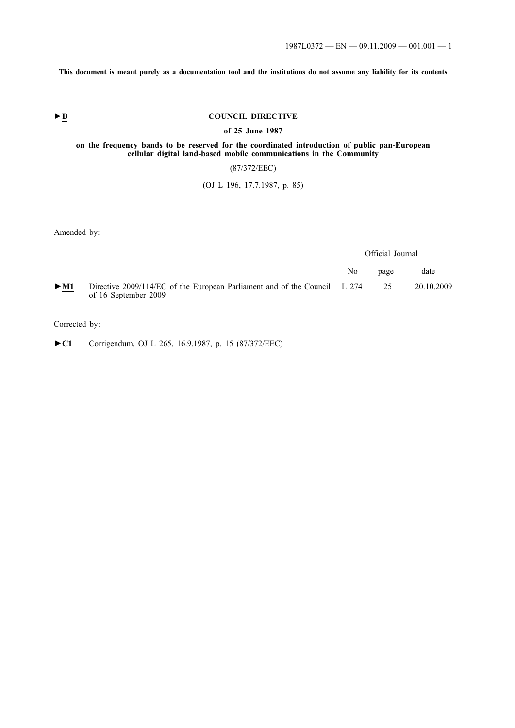**This document is meant purely as a documentation tool and the institutions do not assume any liability for its contents**

# **►B COUNCIL DIRECTIVE**

**of 25 June 1987**

## **on the frequency bands to be reserved for the coordinated introduction of public pan-European cellular digital land-based mobile communications in the Community**

(87/372/EEC)

(OJ L 196, 17.7.1987, p. 85)

Amended by:

|                                             |                                                                                                     | Official Journal |      |            |
|---------------------------------------------|-----------------------------------------------------------------------------------------------------|------------------|------|------------|
|                                             |                                                                                                     | No.              | page | date       |
| $\blacktriangleright \underline{\text{M1}}$ | Directive $2009/114/EC$ of the European Parliament and of the Council L 274<br>of 16 September 2009 |                  | -25  | 20.10.2009 |

Corrected by:

►**C1** Corrigendum, OJ L 265, 16.9.1987, p. 15 (87/372/EEC)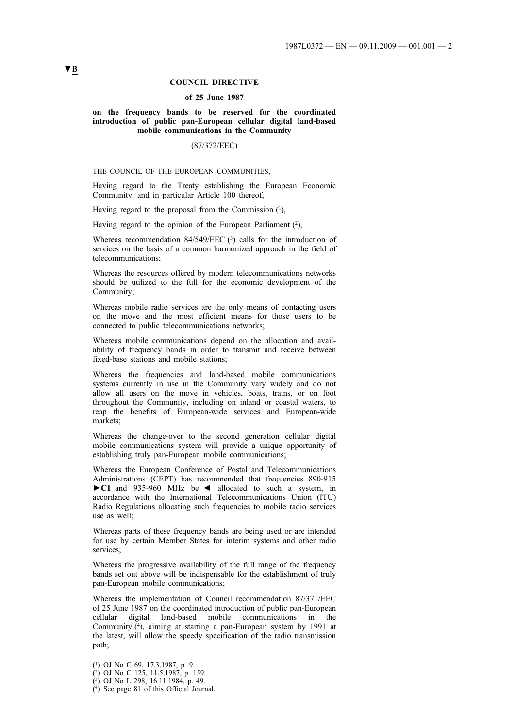#### **COUNCIL DIRECTIVE**

#### **of 25 June 1987**

## **on the frequency bands to be reserved for the coordinated introduction of public pan-European cellular digital land-based mobile communications in the Community**

#### (87/372/EEC)

THE COUNCIL OF THE EUROPEAN COMMUNITIES,

Having regard to the Treaty establishing the European Economic Community, and in particular Article 100 thereof,

Having regard to the proposal from the Commission  $(1)$ ,

Having regard to the opinion of the European Parliament  $(2)$ ,

Whereas recommendation  $84/549/EEC$  (3) calls for the introduction of services on the basis of a common harmonized approach in the field of telecommunications;

Whereas the resources offered by modern telecommunications networks should be utilized to the full for the economic development of the Community;

Whereas mobile radio services are the only means of contacting users on the move and the most efficient means for those users to be connected to public telecommunications networks;

Whereas mobile communications depend on the allocation and availability of frequency bands in order to transmit and receive between fixed-base stations and mobile stations;

Whereas the frequencies and land-based mobile communications systems currently in use in the Community vary widely and do not allow all users on the move in vehicles, boats, trains, or on foot throughout the Community, including on inland or coastal waters, to reap the benefits of European-wide services and European-wide markets;

Whereas the change-over to the second generation cellular digital mobile communications system will provide a unique opportunity of establishing truly pan-European mobile communications;

Whereas the European Conference of Postal and Telecommunications Administrations (CEPT) has recommended that frequencies 890-915 **►C1** and 935-960 MHz be ◄ allocated to such a system, in accordance with the International Telecommunications Union (ITU) Radio Regulations allocating such frequencies to mobile radio services use as well;

Whereas parts of these frequency bands are being used or are intended for use by certain Member States for interim systems and other radio services;

Whereas the progressive availability of the full range of the frequency bands set out above will be indispensable for the establishment of truly pan-European mobile communications;

Whereas the implementation of Council recommendation 87/371/EEC of 25 June 1987 on the coordinated introduction of public pan-European<br>cellular digital land-based mobile communications in the cellular digital land-based mobile communications Community (4), aiming at starting a pan-European system by 1991 at the latest, will allow the speedy specification of the radio transmission path;

# **▼B**

<sup>(1)</sup> OJ No C 69, 17.3.1987, p. 9.

<sup>(2)</sup> OJ No C 125, 11.5.1987, p. 159.

<sup>(3)</sup> OJ No L 298, 16.11.1984, p. 49.

<sup>(4)</sup> See page 81 of this Official Journal.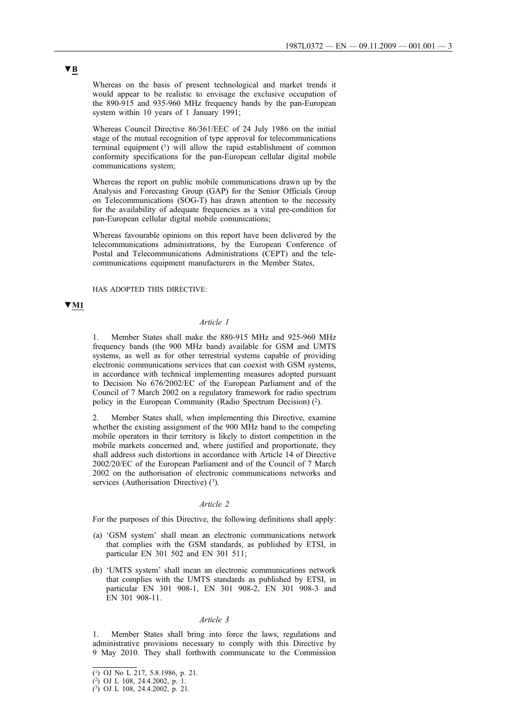Whereas on the basis of present technological and market trends it would appear to be realistic to envisage the exclusive occupation of the 890-915 and 935-960 MHz frequency bands by the pan-European system within 10 years of 1 January 1991;

Whereas Council Directive 86/361/EEC of 24 July 1986 on the initial stage of the mutual recognition of type approval for telecommunications terminal equipment  $(1)$  will allow the rapid establishment of common conformity specifications for the pan-European cellular digital mobile communications system;

Whereas the report on public mobile communications drawn up by the Analysis and Forecasting Group (GAP) for the Senior Officials Group on Telecommunications (SOG-T) has drawn attention to the necessity for the availability of adequate frequencies as a vital pre-condition for pan-European cellular digital mobile comunications;

Whereas favourable opinions on this report have been delivered by the telecommunications administrations, by the European Conference of Postal and Telecommunications Administrations (CEPT) and the telecommunications equipment manufacturers in the Member States,

HAS ADOPTED THIS DIRECTIVE:

## **▼M1**

#### *Article 1*

1. Member States shall make the 880-915 MHz and 925-960 MHz frequency bands (the 900 MHz band) available for GSM and UMTS systems, as well as for other terrestrial systems capable of providing electronic communications services that can coexist with GSM systems, in accordance with technical implementing measures adopted pursuant to Decision No 676/2002/EC of the European Parliament and of the Council of 7 March 2002 on a regulatory framework for radio spectrum policy in the European Community (Radio Spectrum Decision)  $(2)$ .

2. Member States shall, when implementing this Directive, examine whether the existing assignment of the 900 MHz band to the competing mobile operators in their territory is likely to distort competition in the mobile markets concerned and, where justified and proportionate, they shall address such distortions in accordance with Article 14 of Directive 2002/20/EC of the European Parliament and of the Council of 7 March 2002 on the authorisation of electronic communications networks and services (Authorisation Directive)  $(3)$ .

### *Article 2*

For the purposes of this Directive, the following definitions shall apply:

- (a) 'GSM system' shall mean an electronic communications network that complies with the GSM standards, as published by ETSI, in particular EN 301 502 and EN 301 511;
- (b) 'UMTS system' shall mean an electronic communications network that complies with the UMTS standards as published by ETSI, in particular EN 301 908-1, EN 301 908-2, EN 301 908-3 and EN 301 908-11.

## *Article 3*

Member States shall bring into force the laws, regulations and administrative provisions necessary to comply with this Directive by 9 May 2010. They shall forthwith communicate to the Commission

# **▼B**

 $\overline{(^1)}$  OJ No L 217, 5.8.1986, p. 21.

<sup>(2)</sup> OJ L 108, 24.4.2002, p. 1.

<sup>(3)</sup> OJ L 108, 24.4.2002, p. 21.